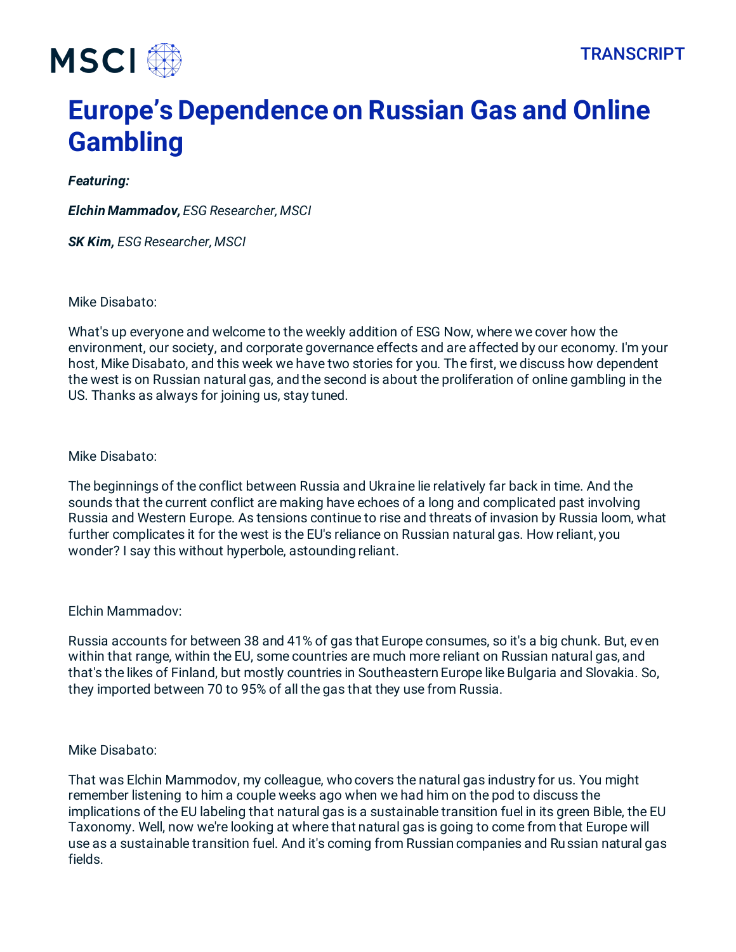

# **Europe's Dependence on Russian Gas and Online Gambling**

# *Featuring:*

*Elchin Mammadov, ESG Researcher, MSCI*

*SK Kim, ESG Researcher, MSCI*

Mike Disabato:

What's up everyone and welcome to the weekly addition of ESG Now, where we cover how the environment, our society, and corporate governance effects and are affected by our economy. I'm your host, Mike Disabato, and this week we have two stories for you. The first, we discuss how dependent the west is on Russian natural gas, and the second is about the proliferation of online gambling in the US. Thanks as always for joining us, stay tuned.

Mike Disabato:

The beginnings of the conflict between Russia and Ukraine lie relatively far back in time. And the sounds that the current conflict are making have echoes of a long and complicated past involving Russia and Western Europe. As tensions continue to rise and threats of invasion by Russia loom, what further complicates it for the west is the EU's reliance on Russian natural gas. How reliant, you wonder? I say this without hyperbole, astounding reliant.

Elchin Mammadov:

Russia accounts for between 38 and 41% of gas that Europe consumes, so it's a big chunk. But, even within that range, within the EU, some countries are much more reliant on Russian natural gas, and that's the likes of Finland, but mostly countries in Southeastern Europe like Bulgaria and Slovakia. So, they imported between 70 to 95% of all the gas that they use from Russia.

# Mike Disabato:

That was Elchin Mammodov, my colleague, who covers the natural gas industry for us. You might remember listening to him a couple weeks ago when we had him on the pod to discuss the implications of the EU labeling that natural gas is a sustainable transition fuel in its green Bible, the EU Taxonomy. Well, now we're looking at where that natural gas is going to come from that Europe will use as a sustainable transition fuel. And it's coming from Russian companies and Russian natural gas fields.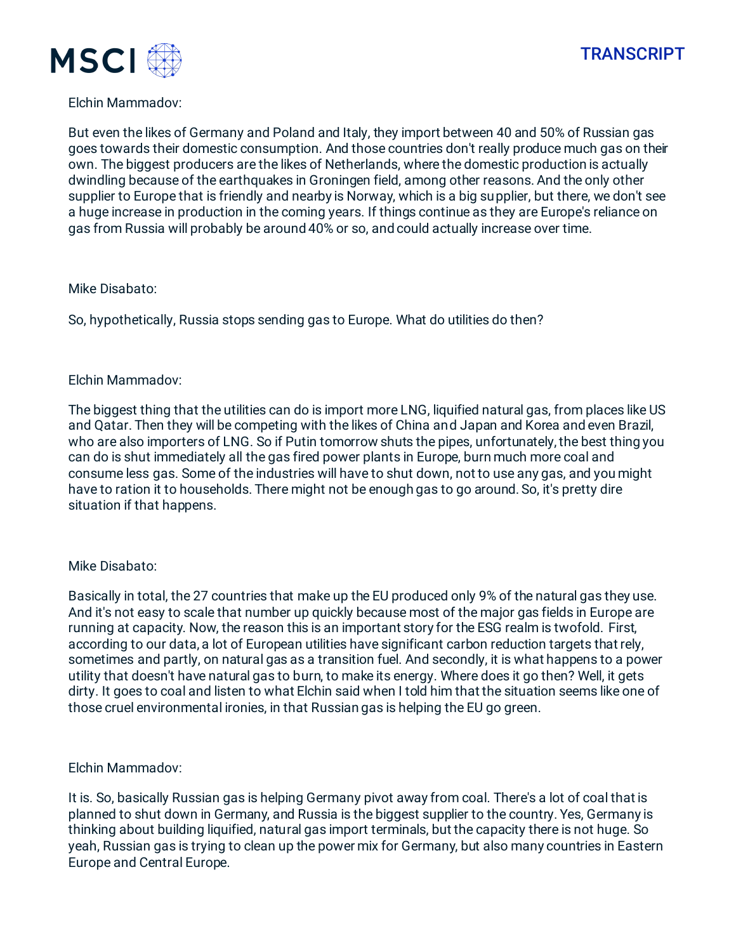



# Elchin Mammadov:

But even the likes of Germany and Poland and Italy, they import between 40 and 50% of Russian gas goes towards their domestic consumption. And those countries don't really produce much gas on their own. The biggest producers are the likes of Netherlands, where the domestic production is actually dwindling because of the earthquakes in Groningen field, among other reasons. And the only other supplier to Europe that is friendly and nearby is Norway, which is a big supplier, but there, we don't see a huge increase in production in the coming years. If things continue as they are Europe's reliance on gas from Russia will probably be around 40% or so, and could actually increase over time.

### Mike Disabato:

So, hypothetically, Russia stops sending gas to Europe. What do utilities do then?

### Elchin Mammadov:

The biggest thing that the utilities can do is import more LNG, liquified natural gas, from places like US and Qatar. Then they will be competing with the likes of China and Japan and Korea and even Brazil, who are also importers of LNG. So if Putin tomorrow shuts the pipes, unfortunately, the best thing you can do is shut immediately all the gas fired power plants in Europe, burn much more coal and consume less gas. Some of the industries will have to shut down, not to use any gas, and you might have to ration it to households. There might not be enough gas to go around. So, it's pretty dire situation if that happens.

# Mike Disabato:

Basically in total, the 27 countries that make up the EU produced only 9% of the natural gas they use. And it's not easy to scale that number up quickly because most of the major gas fields in Europe are running at capacity. Now, the reason this is an important story for the ESG realm is twofold. First, according to our data, a lot of European utilities have significant carbon reduction targets that rely, sometimes and partly, on natural gas as a transition fuel. And secondly, it is what happens to a power utility that doesn't have natural gas to burn, to make its energy. Where does it go then? Well, it gets dirty. It goes to coal and listen to what Elchin said when I told him that the situation seems like one of those cruel environmental ironies, in that Russian gas is helping the EU go green.

# Elchin Mammadov:

It is. So, basically Russian gas is helping Germany pivot away from coal. There's a lot of coal that is planned to shut down in Germany, and Russia is the biggest supplier to the country. Yes, Germany is thinking about building liquified, natural gas import terminals, but the capacity there is not huge. So yeah, Russian gas is trying to clean up the power mix for Germany, but also many countries in Eastern Europe and Central Europe.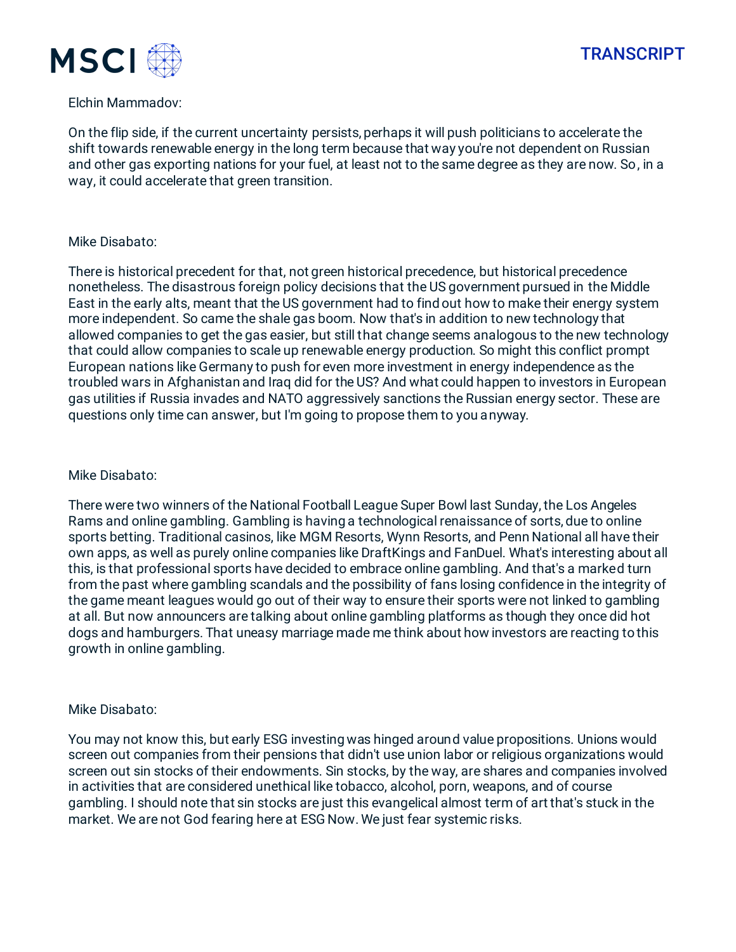



### Elchin Mammadov:

On the flip side, if the current uncertainty persists, perhaps it will push politicians to accelerate the shift towards renewable energy in the long term because that way you're not dependent on Russian and other gas exporting nations for your fuel, at least not to the same degree as they are now. So, in a way, it could accelerate that green transition.

# Mike Disabato:

There is historical precedent for that, not green historical precedence, but historical precedence nonetheless. The disastrous foreign policy decisions that the US government pursued in the Middle East in the early alts, meant that the US government had to find out how to make their energy system more independent. So came the shale gas boom. Now that's in addition to new technology that allowed companies to get the gas easier, but still that change seems analogous to the new technology that could allow companies to scale up renewable energy production. So might this conflict prompt European nations like Germany to push for even more investment in energy independence as the troubled wars in Afghanistan and Iraq did for the US? And what could happen to investors in European gas utilities if Russia invades and NATO aggressively sanctions the Russian energy sector. These are questions only time can answer, but I'm going to propose them to you anyway.

### Mike Disabato:

There were two winners of the National Football League Super Bowl last Sunday, the Los Angeles Rams and online gambling. Gambling is having a technological renaissance of sorts, due to online sports betting. Traditional casinos, like MGM Resorts, Wynn Resorts, and Penn National all have their own apps, as well as purely online companies like DraftKings and FanDuel. What's interesting about all this, is that professional sports have decided to embrace online gambling. And that's a marked turn from the past where gambling scandals and the possibility of fans losing confidence in the integrity of the game meant leagues would go out of their way to ensure their sports were not linked to gambling at all. But now announcers are talking about online gambling platforms as though they once did hot dogs and hamburgers. That uneasy marriage made me think about how investors are reacting to this growth in online gambling.

# Mike Disabato:

You may not know this, but early ESG investing was hinged around value propositions. Unions would screen out companies from their pensions that didn't use union labor or religious organizations would screen out sin stocks of their endowments. Sin stocks, by the way, are shares and companies involved in activities that are considered unethical like tobacco, alcohol, porn, weapons, and of course gambling. I should note that sin stocks are just this evangelical almost term of art that's stuck in the market. We are not God fearing here at ESG Now. We just fear systemic risks.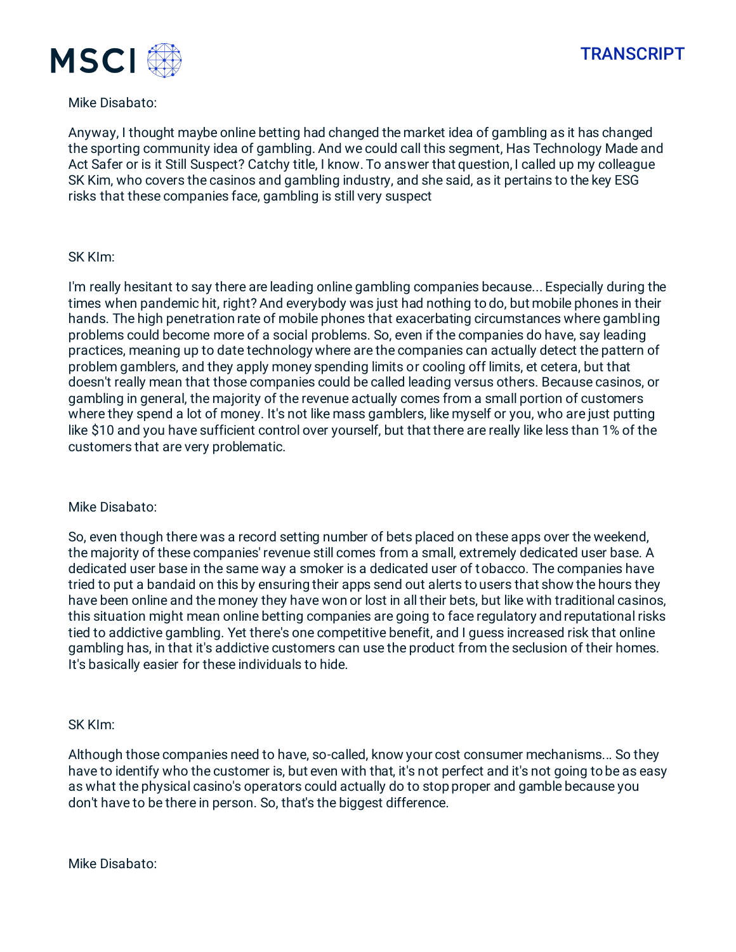

# **TRANSCRIPT**

# Mike Disabato:

Anyway, I thought maybe online betting had changed the market idea of gambling as it has changed the sporting community idea of gambling. And we could call this segment, Has Technology Made and Act Safer or is it Still Suspect? Catchy title, I know. To answer that question, I called up my colleague SK Kim, who covers the casinos and gambling industry, and she said, as it pertains to the key ESG risks that these companies face, gambling is still very suspect

### SK KIm:

I'm really hesitant to say there are leading online gambling companies because... Especially during the times when pandemic hit, right? And everybody was just had nothing to do, but mobile phones in their hands. The high penetration rate of mobile phones that exacerbating circumstances where gambling problems could become more of a social problems. So, even if the companies do have, say leading practices, meaning up to date technology where are the companies can actually detect the pattern of problem gamblers, and they apply money spending limits or cooling off limits, et cetera, but that doesn't really mean that those companies could be called leading versus others. Because casinos, or gambling in general, the majority of the revenue actually comes from a small portion of customers where they spend a lot of money. It's not like mass gamblers, like myself or you, who are just putting like \$10 and you have sufficient control over yourself, but that there are really like less than 1% of the customers that are very problematic.

# Mike Disabato:

So, even though there was a record setting number of bets placed on these apps over the weekend, the majority of these companies' revenue still comes from a small, extremely dedicated user base. A dedicated user base in the same way a smoker is a dedicated user of tobacco. The companies have tried to put a bandaid on this by ensuring their apps send out alerts to users that show the hours they have been online and the money they have won or lost in all their bets, but like with traditional casinos, this situation might mean online betting companies are going to face regulatory and reputational risks tied to addictive gambling. Yet there's one competitive benefit, and I guess increased risk that online gambling has, in that it's addictive customers can use the product from the seclusion of their homes. It's basically easier for these individuals to hide.

#### SK KIm:

Although those companies need to have, so-called, know your cost consumer mechanisms... So they have to identify who the customer is, but even with that, it's not perfect and it's not going to be as easy as what the physical casino's operators could actually do to stop proper and gamble because you don't have to be there in person. So, that's the biggest difference.

Mike Disabato: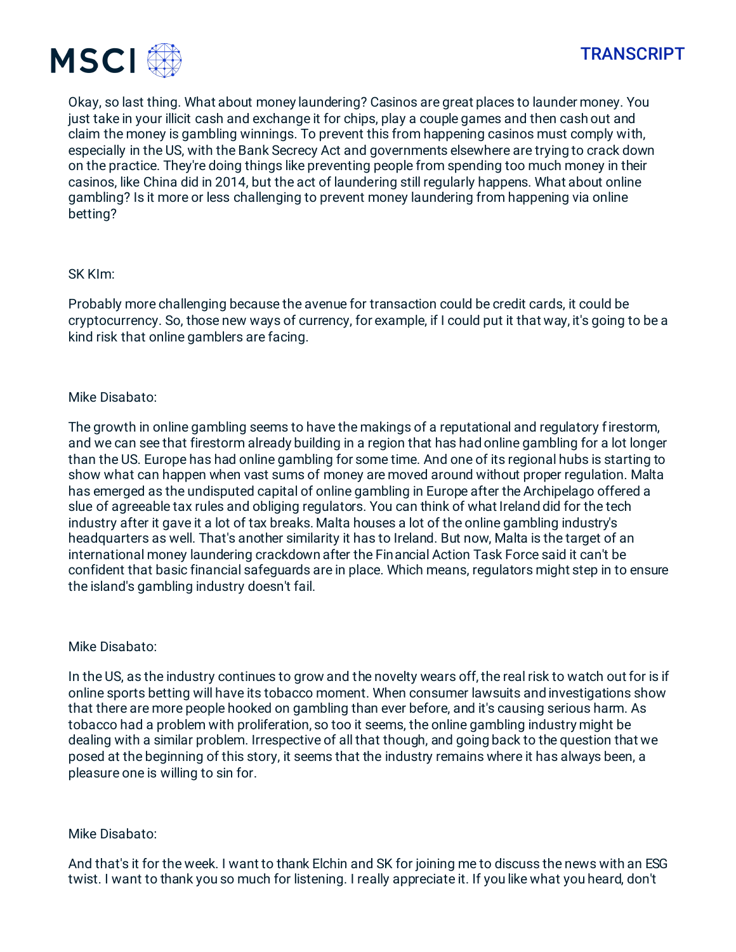

Okay, so last thing. What about money laundering? Casinos are great places to launder money. You just take in your illicit cash and exchange it for chips, play a couple games and then cash out and claim the money is gambling winnings. To prevent this from happening casinos must comply with, especially in the US, with the Bank Secrecy Act and governments elsewhere are trying to crack down on the practice. They're doing things like preventing people from spending too much money in their casinos, like China did in 2014, but the act of laundering still regularly happens. What about online gambling? Is it more or less challenging to prevent money laundering from happening via online betting?

# SK KIm:

Probably more challenging because the avenue for transaction could be credit cards, it could be cryptocurrency. So, those new ways of currency, for example, if I could put it that way, it's going to be a kind risk that online gamblers are facing.

# Mike Disabato:

The growth in online gambling seems to have the makings of a reputational and regulatory firestorm, and we can see that firestorm already building in a region that has had online gambling for a lot longer than the US. Europe has had online gambling for some time. And one of its regional hubs is starting to show what can happen when vast sums of money are moved around without proper regulation. Malta has emerged as the undisputed capital of online gambling in Europe after the Archipelago offered a slue of agreeable tax rules and obliging regulators. You can think of what Ireland did for the tech industry after it gave it a lot of tax breaks. Malta houses a lot of the online gambling industry's headquarters as well. That's another similarity it has to Ireland. But now, Malta is the target of an international money laundering crackdown after the Financial Action Task Force said it can't be confident that basic financial safeguards are in place. Which means, regulators might step in to ensure the island's gambling industry doesn't fail.

# Mike Disabato:

In the US, as the industry continues to grow and the novelty wears off, the real risk to watch out for is if online sports betting will have its tobacco moment. When consumer lawsuits and investigations show that there are more people hooked on gambling than ever before, and it's causing serious harm. As tobacco had a problem with proliferation, so too it seems, the online gambling industry might be dealing with a similar problem. Irrespective of all that though, and going back to the question that we posed at the beginning of this story, it seems that the industry remains where it has always been, a pleasure one is willing to sin for.

# Mike Disabato:

And that's it for the week. I want to thank Elchin and SK for joining me to discuss the news with an ESG twist. I want to thank you so much for listening. I really appreciate it. If you like what you heard, don't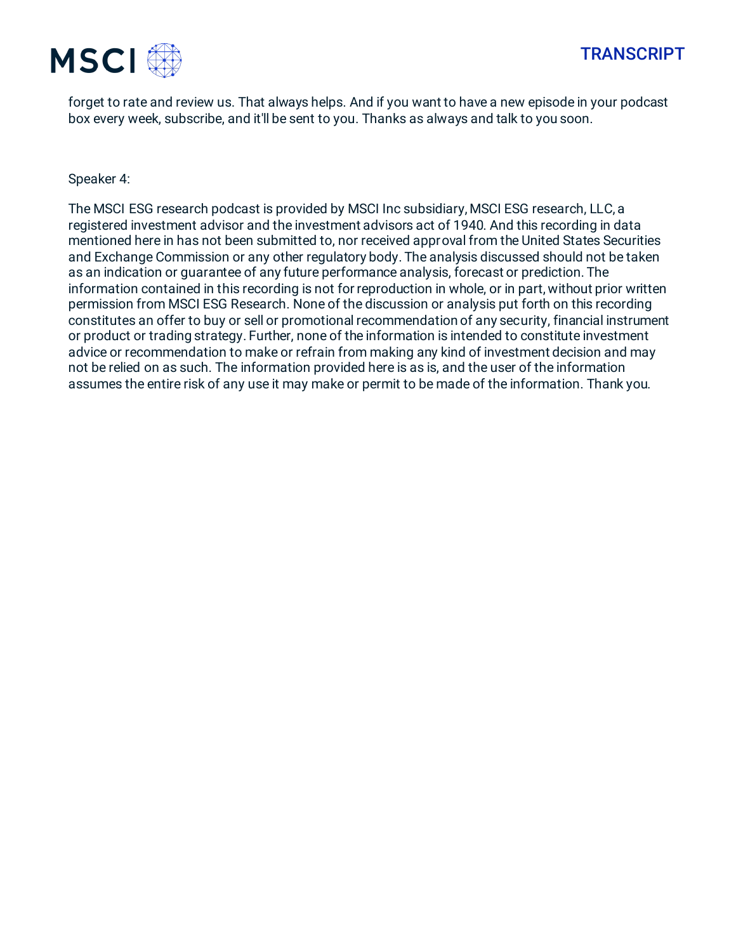

forget to rate and review us. That always helps. And if you want to have a new episode in your podcast box every week, subscribe, and it'll be sent to you. Thanks as always and talk to you soon.

Speaker 4:

The MSCI ESG research podcast is provided by MSCI Inc subsidiary, MSCI ESG research, LLC, a registered investment advisor and the investment advisors act of 1940. And this recording in data mentioned here in has not been submitted to, nor received approval from the United States Securities and Exchange Commission or any other regulatory body. The analysis discussed should not be taken as an indication or guarantee of any future performance analysis, forecast or prediction. The information contained in this recording is not for reproduction in whole, or in part, without prior written permission from MSCI ESG Research. None of the discussion or analysis put forth on this recording constitutes an offer to buy or sell or promotional recommendation of any security, financial instrument or product or trading strategy. Further, none of the information is intended to constitute investment advice or recommendation to make or refrain from making any kind of investment decision and may not be relied on as such. The information provided here is as is, and the user of the information assumes the entire risk of any use it may make or permit to be made of the information. Thank you.